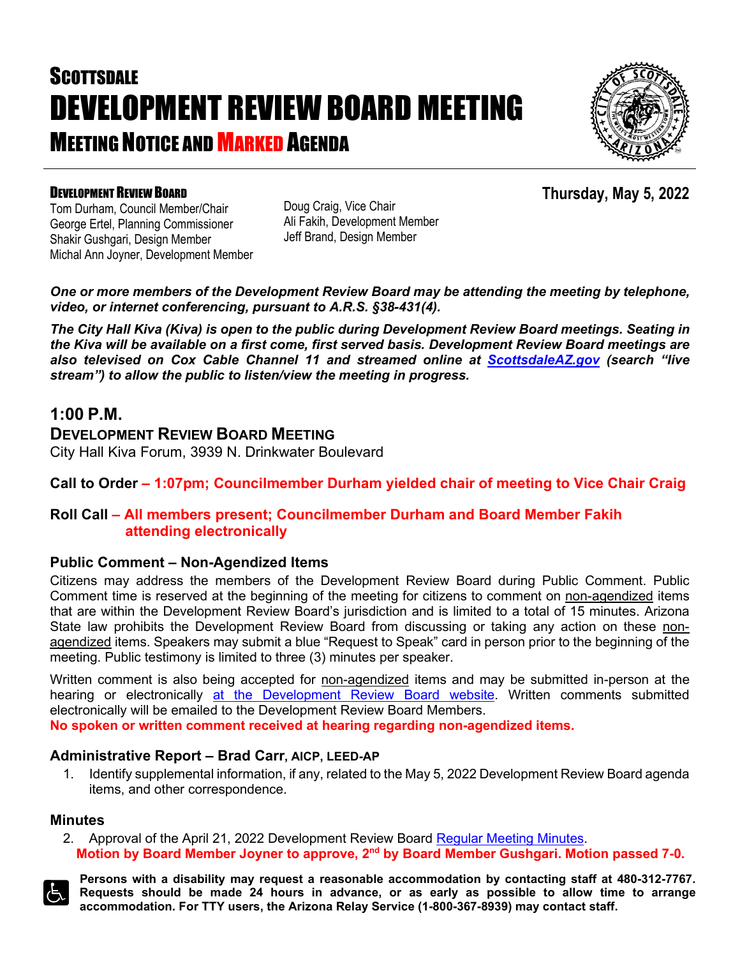# **SCOTTSDALE** DEVELOPMENT REVIEW BOARD MEETING **MEETING NOTICE AND MARKED AGENDA**



**Thursday, May 5, 2022**

### DEVELOPMENT REVIEW BOARD

Tom Durham, Council Member/Chair George Ertel, Planning Commissioner Shakir Gushgari, Design Member Michal Ann Joyner, Development Member Doug Craig, Vice Chair Ali Fakih, Development Member Jeff Brand, Design Member

*One or more members of the Development Review Board may be attending the meeting by telephone, video, or internet conferencing, pursuant to A.R.S. §38-431(4).*

*The City Hall Kiva (Kiva) is open to the public during Development Review Board meetings. Seating in the Kiva will be available on a first come, first served basis. Development Review Board meetings are also televised on Cox Cable Channel 11 and streamed online at [ScottsdaleAZ.gov](http://www.scottsdaleaz.gov/) (search "live stream") to allow the public to listen/view the meeting in progress.*

## **1:00 P.M.**

**DEVELOPMENT REVIEW BOARD MEETING**

City Hall Kiva Forum, 3939 N. Drinkwater Boulevard

**Call to Order – 1:07pm; Councilmember Durham yielded chair of meeting to Vice Chair Craig**

## **Roll Call – All members present; Councilmember Durham and Board Member Fakih attending electronically**

### **Public Comment – Non-Agendized Items**

Citizens may address the members of the Development Review Board during Public Comment. Public Comment time is reserved at the beginning of the meeting for citizens to comment on non-agendized items that are within the Development Review Board's jurisdiction and is limited to a total of 15 minutes. Arizona State law prohibits the Development Review Board from discussing or taking any action on these nonagendized items. Speakers may submit a blue "Request to Speak" card in person prior to the beginning of the meeting. Public testimony is limited to three (3) minutes per speaker.

Written comment is also being accepted for non-agendized items and may be submitted in-person at the hearing or electronically [at the Development Review Board website.](https://www.scottsdaleaz.gov/boards/development-review-board/public-comment) Written comments submitted electronically will be emailed to the Development Review Board Members. **No spoken or written comment received at hearing regarding non-agendized items.**

#### **Administrative Report – Brad Carr, AICP, LEED-AP**

1. Identify supplemental information, if any, related to the May 5, 2022 Development Review Board agenda items, and other correspondence.

#### **Minutes**

2. Approval of the April 21, 2022 Development Review Board [Regular Meeting Minutes.](https://eservices.scottsdaleaz.gov/planning/projectsummary/unrelated_documents/DRB_MEETING_MINUTES_04212022.pdf) **Motion by Board Member Joyner to approve, 2nd by Board Member Gushgari. Motion passed 7-0.**



**Persons with a disability may request a reasonable accommodation by contacting staff at 480-312-7767. Requests should be made 24 hours in advance, or as early as possible to allow time to arrange accommodation. For TTY users, the Arizona Relay Service (1-800-367-8939) may contact staff.**